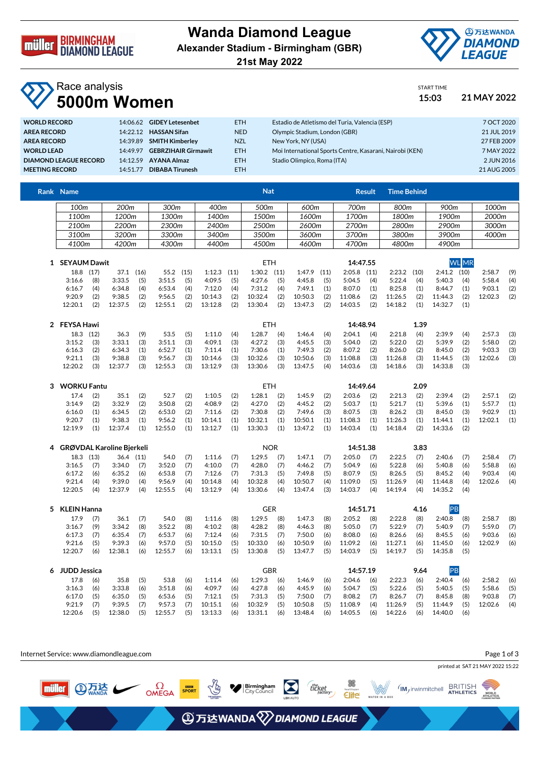

## **Wanda Diamond League Alexander Stadium - Birmingham (GBR)**





START TIME

## Race analysis **5000m Women 15:03 21 MAY 2022**

| <b>WORLD RECORD</b>          |          | 14:06.62 GIDEY Letesenbet    | <b>ETH</b> | Estadio de Atletismo del Turia, Valencia (ESP)           | 7 OCT 2020  |
|------------------------------|----------|------------------------------|------------|----------------------------------------------------------|-------------|
| <b>AREA RECORD</b>           |          | 14:22.12 HASSAN Sifan        | <b>NED</b> | Olympic Stadium, London (GBR)                            | 21 JUL 2019 |
| <b>AREA RECORD</b>           |          | 14:39.89 SMITH Kimberley     | <b>NZL</b> | New York, NY (USA)                                       | 27 FEB 2009 |
| <b>WORLD LEAD</b>            |          | 14:49.97 GEBRZIHAIR Girmawit | <b>ETH</b> | Moi International Sports Centre, Kasarani, Nairobi (KEN) | 7 MAY 2022  |
| <b>DIAMOND LEAGUE RECORD</b> | 14.1259  | AYANA Almaz                  | <b>ETH</b> | Stadio Olimpico, Roma (ITA)                              | 2 JUN 2016  |
| <b>MEETING RECORD</b>        | 14:51.77 | <b>DIBABA Tirunesh</b>       | <b>ETH</b> |                                                          | 21 AUG 2005 |
|                              |          |                              |            |                                                          |             |

|   | Rank Name                 |           |                  |           |         |      |         |      | <b>Nat</b>      |            |         |      |          | <b>Result</b> | <b>Time Behind</b> |      |                  |     |         |     |
|---|---------------------------|-----------|------------------|-----------|---------|------|---------|------|-----------------|------------|---------|------|----------|---------------|--------------------|------|------------------|-----|---------|-----|
|   | 100 <sub>m</sub>          |           | 200 <sub>m</sub> |           | 300m    |      | 400m    |      | 500m            |            | 600m    |      | 700m     |               | 800m               |      | 900 <sub>m</sub> |     | 1000m   |     |
|   | 1100m                     |           | 1200m            |           | 1300m   |      | 1400m   |      | 1500m           |            | 1600m   |      | 1700m    |               | 1800m              |      | 1900m            |     | 2000m   |     |
|   | 2100m                     |           | 2200m            |           | 2300m   |      | 2400m   |      | 2500m           |            | 2600m   |      | 2700m    |               | 2800m              |      | 2900m            |     | 3000m   |     |
|   | 3100m                     |           | 3200m            |           | 3300m   |      | 3400m   |      | 3500m           |            | 3600m   |      | 3700m    |               | 3800m              |      | 3900m            |     | 4000m   |     |
|   | 4100m                     |           | 4200m            |           | 4300m   |      | 4400m   |      | 4500m           |            | 4600m   |      | 4700m    |               | 4800m              |      | 4900m            |     |         |     |
|   |                           |           |                  |           |         |      |         |      |                 |            |         |      |          |               |                    |      |                  |     |         |     |
|   | 1 SEYAUM Dawit            |           |                  |           |         |      |         |      |                 | <b>ETH</b> |         |      | 14:47.55 |               |                    |      | <b>WL</b> MR     |     |         |     |
|   | 18.8 (17)                 |           | 37.1             | (16)      | 55.2    | (15) | 1:12.3  | (11) | $1:30.2$ $(11)$ |            | 1:47.9  | (11) | 2:05.8   | (11)          | 2:23.2             | (10) | $2:41.2$ (10)    |     | 2:58.7  | (9) |
|   | 3:16.6                    | (8)       | 3:33.5           | (5)       | 3:51.5  | (5)  | 4:09.5  | (5)  | 4:27.6          | (5)        | 4:45.8  | (5)  | 5:04.5   | (4)           | 5:22.4             | (4)  | 5:40.3           | (4) | 5:58.4  | (4) |
|   | 6:16.7                    | (4)       | 6:34.8           | (4)       | 6:53.4  | (4)  | 7:12.0  | (4)  | 7:31.2          | (4)        | 7:49.1  | (1)  | 8:07.0   | (1)           | 8:25.8             | (1)  | 8:44.7           | (1) | 9:03.1  | (2) |
|   | 9:20.9                    | (2)       | 9:38.5           | (2)       | 9:56.5  | (2)  | 10:14.3 | (2)  | 10:32.4         | (2)        | 10:50.3 | (2)  | 11:08.6  | (2)           | 11:26.5            | (2)  | 11:44.3          | (2) | 12:02.3 | (2) |
|   | 12:20.1                   | (2)       | 12:37.5          | (2)       | 12:55.1 | (2)  | 13:12.8 | (2)  | 13:30.4         | (2)        | 13:47.3 | (2)  | 14:03.5  | (2)           | 14:18.2            | (1)  | 14:32.7          | (1) |         |     |
|   | 2 FEYSA Hawi              |           |                  |           |         |      |         |      | <b>ETH</b>      |            |         |      | 14:48.94 |               |                    | 1.39 |                  |     |         |     |
|   |                           | 18.3 (12) | 36.3             | (9)       | 53.5    | (5)  | 1:11.0  | (4)  | 1:28.7          | (4)        | 1:46.4  | (4)  | 2:04.1   | (4)           | 2:21.8             | (4)  | 2:39.9           | (4) | 2:57.3  | (3) |
|   | 3:15.2                    | (3)       | 3:33.1           | (3)       | 3:51.1  | (3)  | 4:09.1  | (3)  | 4:27.2          | (3)        | 4:45.5  | (3)  | 5:04.0   | (2)           | 5:22.0             | (2)  | 5:39.9           | (2) | 5:58.0  | (2) |
|   | 6:16.3                    | (2)       | 6:34.3           | (1)       | 6:52.7  | (1)  | 7:11.4  | (1)  | 7:30.6          | (1)        | 7:49.3  | (2)  | 8:07.2   | (2)           | 8:26.0             | (2)  | 8:45.0           | (2) | 9:03.3  | (3) |
|   | 9:21.1                    | (3)       | 9:38.8           | (3)       | 9:56.7  | (3)  | 10:14.6 | (3)  | 10:32.6         | (3)        | 10:50.6 | (3)  | 11:08.8  | (3)           | 11:26.8            | (3)  | 11:44.5          | (3) | 12:02.6 | (3) |
|   | 12:20.2                   | (3)       | 12:37.7          | (3)       | 12:55.3 | (3)  | 13:12.9 | (3)  | 13:30.6         | (3)        | 13:47.5 | (4)  | 14:03.6  | (3)           | 14:18.6            | (3)  | 14:33.8          | (3) |         |     |
| 3 | <b>WORKU Fantu</b>        |           |                  |           |         |      |         |      | <b>ETH</b>      |            |         |      | 14:49.64 |               |                    | 2.09 |                  |     |         |     |
|   | 17.4                      | (2)       | 35.1             | (2)       | 52.7    | (2)  | 1:10.5  | (2)  | 1:28.1          | (2)        | 1:45.9  | (2)  | 2:03.6   | (2)           | 2:21.3             | (2)  | 2:39.4           | (2) | 2:57.1  | (2) |
|   | 3:14.9                    | (2)       | 3:32.9           | (2)       | 3:50.8  | (2)  | 4:08.9  | (2)  | 4:27.0          | (2)        | 4:45.2  | (2)  | 5:03.7   | (1)           | 5:21.7             | (1)  | 5:39.6           | (1) | 5:57.7  | (1) |
|   | 6:16.0                    | (1)       | 6:34.5           | (2)       | 6:53.0  | (2)  | 7:11.6  | (2)  | 7:30.8          | (2)        | 7:49.6  | (3)  | 8:07.5   | (3)           | 8:26.2             | (3)  | 8:45.0           | (3) | 9:02.9  | (1) |
|   | 9:20.7                    | (1)       | 9:38.3           | (1)       | 9:56.2  | (1)  | 10:14.1 | (1)  | 10:32.1         | (1)        | 10:50.1 | (1)  | 11:08.3  | (1)           | 11:26.3            | (1)  | 11:44.1          | (1) | 12:02.1 | (1) |
|   | 12:19.9                   | (1)       | 12:37.4          | (1)       | 12:55.0 | (1)  | 13:12.7 | (1)  | 13:30.3         | (1)        | 13:47.2 | (1)  | 14:03.4  | (1)           | 14:18.4            | (2)  | 14:33.6          | (2) |         |     |
| 4 | GRØVDAL Karoline Bjerkeli |           |                  |           |         |      |         |      | <b>NOR</b>      |            |         |      | 14:51.38 |               |                    | 3.83 |                  |     |         |     |
|   |                           | 18.3 (13) |                  | 36.4 (11) | 54.0    | (7)  | 1:11.6  | (7)  | 1:29.5          | (7)        | 1:47.1  | (7)  | 2:05.0   | (7)           | 2:22.5             | (7)  | 2:40.6           | (7) | 2:58.4  | (7) |
|   | 3:16.5                    | (7)       | 3:34.0           | (7)       | 3:52.0  | (7)  | 4:10.0  | (7)  | 4:28.0          | (7)        | 4:46.2  | (7)  | 5:04.9   | (6)           | 5:22.8             | (6)  | 5:40.8           | (6) | 5:58.8  | (6) |
|   | 6:17.2                    | (6)       | 6:35.2           | (6)       | 6:53.8  | (7)  | 7:12.6  | (7)  | 7:31.3          | (5)        | 7:49.8  | (5)  | 8:07.9   | (5)           | 8:26.5             | (5)  | 8:45.2           | (4) | 9:03.4  | (4) |
|   | 9:21.4                    | (4)       | 9:39.0           | (4)       | 9:56.9  | (4)  | 10:14.8 | (4)  | 10:32.8         | (4)        | 10:50.7 | (4)  | 11:09.0  | (5)           | 11:26.9            | (4)  | 11:44.8          | (4) | 12:02.6 | (4) |
|   | 12:20.5                   | (4)       | 12:37.9          | (4)       | 12:55.5 | (4)  | 13:12.9 | (4)  | 13:30.6         | (4)        | 13:47.4 | (3)  | 14:03.7  | (4)           | 14:19.4            | (4)  | 14:35.2          | (4) |         |     |
|   | 5 KLEIN Hanna             |           |                  |           |         |      |         |      | <b>GER</b>      |            |         |      | 14:51.71 |               |                    | 4.16 | PB               |     |         |     |

| 5 KLEIN Hanna |     |         |     |         |     |         |     | GER     |     |         |     | 14:51.71 |     |         | 4.16 |         |     |         |     |
|---------------|-----|---------|-----|---------|-----|---------|-----|---------|-----|---------|-----|----------|-----|---------|------|---------|-----|---------|-----|
| 17.9          |     | 36.1    | (7) | 54.0    | (8) | 1:11.6  | (8) | 1:29.5  | (8) | 1:47.3  | (8) | 2:05.2   | (8) | 2:22.8  | (8)  | 2:40.8  | (8) | 2:58.7  | (8) |
| 3:16.7        | (9) | 3:34.2  | (8) | 3:52.2  | (8) | 4:10.2  | (8) | 4:28.2  | (8) | 4:46.3  | (8) | 5:05.0   | (7) | 5:22.9  | (7)  | 5:40.9  | (7) | 5:59.0  | (7) |
| 6:17.3        | (7) | 6:35.4  | (7) | 6:53.7  | (6) | 7:12.4  | (6) | 7:31.5  | (7) | 7:50.0  | (6) | 8:08.0   | (6) | 8:26.6  | (6)  | 8:45.5  | (6) | 9:03.6  | (6) |
| 9:21.6        | (5) | 9:39.3  | (6) | 9:57.0  | (5) | 10:15.0 | (5) | 10:33.0 | (6) | 10:50.9 | (6) | 11:09.2  | (6) | 11:27.1 | (6)  | 11:45.0 | (6) | 12:02.9 | (6) |
| 12:20.7       | (6) | 12:38.1 | (6) | 12:55.7 | (6) | 13:13.1 | (5) | 13:30.8 | (5) | 13:47.7 | (5) | 14:03.9  | (5) | 14:19.7 | (5)  | 14:35.8 | (5) |         |     |
|               |     |         |     |         |     |         |     |         |     |         |     |          |     |         |      |         |     |         |     |

| 6 JUDD Jessica |     |         |     |         |     |              |     | GBR                |     |             |     | 14:57.19     |     | 9.64                |     |         |     |               |     |
|----------------|-----|---------|-----|---------|-----|--------------|-----|--------------------|-----|-------------|-----|--------------|-----|---------------------|-----|---------|-----|---------------|-----|
| 17.8           | (6) | 35.8    | (5) | 53.8    | (6) | 1:11.4       | (6) | 1:29.3             | (6) | 1:46.9      | (6) | $2:04.6$ (6) |     | 2:22.3              | (6) | 2:40.4  | (6) | 2:58.2        | (6) |
| $3:16.3$ (6)   |     | 3:33.8  | (6) | 3:51.8  | (6) | 4:09.7       | (6) | $4:27.8$ (6)       |     | 4:45.9 (6)  |     | 5:04.7       | (5) | 5:22.6              | (5) | 5:40.5  | (5) | $5:58.6$ (5)  |     |
| $6:17.0$ (5)   |     | 6:35.0  | (5) | 6:53.6  |     | $(5)$ 7:12.1 |     | $(5)$ 7:31.3 $(5)$ |     | 7:50.0 (7)  |     | $8:08.2$ (7) |     | 8:26.7              | (7) | 8:45.8  | (8) | $9:03.8$ (7)  |     |
| 9:21.9         |     | 9:39.5  | (7) | 9:57.3  | (7) | 10:15.1      |     | $(6)$ 10:32.9      | (5) | 10:50.8 (5) |     | 11:08.9      | (4) | 11:26.9 (5) 11:44.9 |     |         |     | $(5)$ 12:02.6 | (4) |
| 12:20.6        | (5) | 12:38.0 | (5) | 12:55.7 | (5) | 13:13.3      | (6) | 13:31.1            | (6) | 13:48.4 (6) |     | 14:05.5      | (6) | 14:22.6             | (6) | 14:40.0 | (6) |               |     |

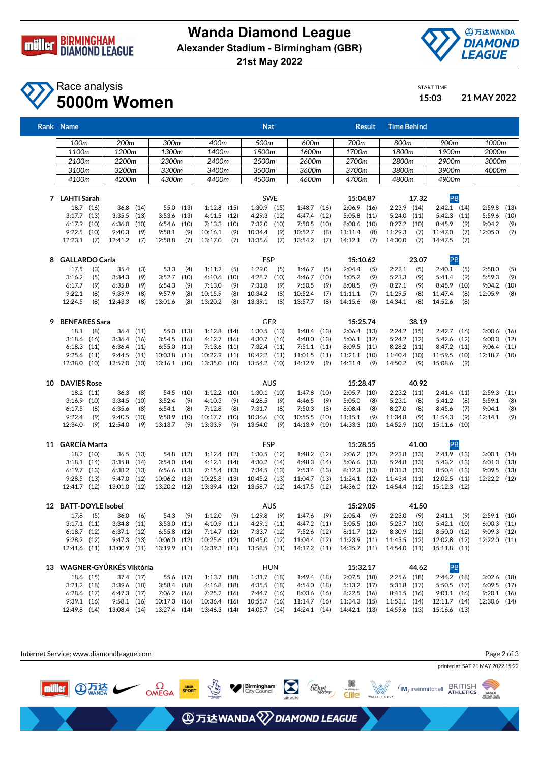

**Wanda Diamond League Alexander Stadium - Birmingham (GBR)**

**21st May 2022**



START TIME

## Race analysis **5000m Women 15:03 21 MAY 2022**

|    | Rank Name                                |            |                                  |              |                               |              |                                            |             | <b>Nat</b>                     |             |                              |              |                                 | <b>Result</b> | <b>Time Behind</b>           |              |                                  |             |                                  |             |
|----|------------------------------------------|------------|----------------------------------|--------------|-------------------------------|--------------|--------------------------------------------|-------------|--------------------------------|-------------|------------------------------|--------------|---------------------------------|---------------|------------------------------|--------------|----------------------------------|-------------|----------------------------------|-------------|
|    | 100m                                     |            | 200m                             |              | 300m                          |              | 400m                                       |             | 500m                           |             | 600m                         |              | 700m                            |               | 800m                         |              | 900m                             |             | 1000m                            |             |
|    | 1100m                                    |            | 1200m                            |              | 1300m                         |              | 1400m                                      |             | 1500m                          |             | 1600m                        |              | 1700m                           |               | 1800m                        |              | 1900m                            |             | 2000m                            |             |
|    | 2100m                                    |            | 2200m                            |              | 2300m                         |              | 2400m                                      |             | 2500m                          |             | 2600m                        |              | 2700m                           |               | 2800m                        |              | 2900m                            |             | 3000m                            |             |
|    | 3100m                                    |            | 3200m                            |              | 3300m                         |              | 3400m                                      |             | 3500m                          |             | 3600m                        |              | 3700m                           |               | 3800m                        |              | 3900m                            |             | 4000m                            |             |
|    | 4100m                                    |            | 4200m                            |              | 4300m                         |              | 4400m                                      |             | 4500m                          |             | 4600m                        |              | 4700m                           |               | 4800m                        |              | 4900m                            |             |                                  |             |
|    | 7 LAHTI Sarah                            |            |                                  |              |                               |              |                                            |             | <b>SWE</b>                     |             |                              |              | 15:04.87                        |               |                              | 17.32        | PB                               |             |                                  |             |
|    | 18.7 (16)                                |            | 36.8 (14)                        |              | 55.0                          | (13)         | $1:12.8$ (15)                              |             | $1:30.9$ (15)                  |             | $1:48.7$ (16)                |              | 2:06.9                          | (16)          | $2:23.9$ (14)                |              | $2:42.1$ (14)                    |             | 2:59.8                           | (13)        |
|    | $3:17.7$ (13)                            |            | 3:35.5                           | (13)         | 3:53.6                        | (13)         | 4:11.5                                     | (12)        | $4:29.3$ $(12)$                |             | 4:47.4                       | (12)         | 5:05.8                          | (11)          | 5:24.0                       | (11)         | 5:42.3                           | (11)        | 5:59.6                           | (10)        |
|    | 6:17.9                                   | (10)       | 6:36.0                           | (10)         | 6:54.6                        | (10)         | 7:13.3                                     | (10)        | 7:32.0                         | (10)        | 7:50.5                       | (10)         | 8:08.6                          | (10)          | 8:27.2                       | (10)         | 8:45.9                           | (9)         | 9:04.2                           | (9)         |
|    | $9:22.5$ (10)                            |            | 9:40.3                           | (9)          | 9:58.1                        | (9)          | 10:16.1                                    | (9)         | 10:34.4                        | (9)         | 10:52.7                      | (8)          | 11:11.4                         | (8)           | 11:29.3                      | (7)          | 11:47.0                          | (7)         | 12:05.0                          | (7)         |
|    | 12:23.1                                  | (7)        | 12:41.2                          | (7)          | 12:58.8                       | (7)          | 13:17.0                                    | (7)         | 13:35.6                        | (7)         | 13:54.2                      | (7)          | 14:12.1                         | (7)           | 14:30.0                      | (7)          | 14:47.5                          | (7)         |                                  |             |
| 8  | <b>GALLARDO Carla</b>                    |            |                                  |              |                               |              |                                            | <b>ESP</b>  |                                |             |                              | 15:10.62     |                                 |               | 23.07                        | PB           |                                  |             |                                  |             |
|    | 17.5                                     | (3)        | 35.4                             | (3)          | 53.3                          | (4)          | 1:11.2                                     | (5)         | 1:29.0                         | (5)         | 1:46.7                       | (5)          | 2:04.4                          | (5)           | 2:22.1                       | (5)          | 2:40.1                           | (5)         | 2:58.0                           | (5)         |
|    | 3:16.2<br>6:17.7                         | (5)<br>(9) | 3:34.3                           | (9)<br>(9)   | 3:52.7<br>6:54.3              | (10)<br>(9)  | 4:10.6                                     | (10)<br>(9) | 4:28.7<br>7:31.8               | (10)<br>(9) | 4:46.7<br>7:50.5             | (10)<br>(9)  | 5:05.2<br>8:08.5                | (9)<br>(9)    | 5:23.3<br>8:27.1             | (9)<br>(9)   | 5:41.4<br>8:45.9                 | (9)<br>(10) | 5:59.3                           | (9)         |
|    | 9:22.1                                   | (8)        | 6:35.8<br>9:39.9                 | (8)          | 9:57.9                        | (8)          | 7:13.0<br>10:15.9                          | (8)         | 10:34.2                        | (8)         | 10:52.4                      | (7)          | 11:11.1                         | (7)           | 11:29.5                      | (8)          | 11:47.4                          | (8)         | 9:04.2<br>12:05.9                | (10)<br>(8) |
|    | 12:24.5                                  | (8)        | 12:43.3                          | (8)          | 13:01.6                       | (8)          | 13:20.2                                    | (8)         | 13:39.1                        | (8)         | 13:57.7                      | (8)          | 14:15.6                         | (8)           | 14:34.1                      | (8)          | 14:52.6                          | (8)         |                                  |             |
| 9  | <b>BENFARES Sara</b>                     |            |                                  |              |                               |              |                                            |             | <b>GER</b>                     |             |                              |              | 15:25.74                        |               |                              | 38.19        |                                  |             |                                  |             |
|    | 18.1                                     | (8)        | 36.4                             | (11)         | 55.0                          | (13)         | 1:12.8                                     | (14)        | $1:30.5$ $(13)$                |             | $1:48.4$ (13)                |              | 2:06.4                          | (13)          | $2:24.2$ (15)                |              | $2:42.7$ (16)                    |             | $3:00.6$ (16)                    |             |
|    | $3:18.6$ (16)                            |            | 3:36.4                           | (16)         | 3:54.5                        | (16)         | $4:12.7$ $(16)$                            |             | 4:30.7 (16)                    |             | 4:48.0 (13)                  |              | 5:06.1                          | (12)          | $5:24.2$ (12)                |              | 5:42.6                           | (12)        | $6:00.3$ (12)                    |             |
|    | $6:18.3$ $(11)$                          |            | 6:36.4                           | (11)         | 6:55.0                        | (11)         | 7:13.6                                     | (11)        | $7:32.4$ (11)                  |             | $7:51.1$ (11)                |              | 8:09.5                          | (11)          | 8:28.2                       | (11)         | 8:47.2                           | (11)        | $9:06.4$ (11)                    |             |
|    | $9:25.6$ (11)                            |            | 9:44.5                           | (11)         | 10:03.8                       | (11)         | 10:22.9                                    | (11)        | 10:42.2 (11)                   |             | 11:01.5                      | (11)         | 11:21.1                         | (10)          | 11:40.4                      | (10)         | 11:59.5                          | (10)        | 12:18.7 (10)                     |             |
|    | 12:38.0 (10)                             |            | 12:57.0                          | (10)         | 13:16.1                       | (10)         | 13:35.0 (10)                               |             | 13:54.2 (10)                   |             | 14:12.9                      | (9)          | 14:31.4                         | (9)           | 14:50.2                      | (9)          | 15:08.6                          | (9)         |                                  |             |
| 10 | <b>DAVIES Rose</b>                       |            |                                  |              |                               |              |                                            |             | <b>AUS</b>                     |             |                              |              | 15:28.47                        |               |                              | 40.92        |                                  |             |                                  |             |
|    | 18.2 (11)                                |            | 36.3                             | (8)          | 54.5                          | (10)         | $1:12.2$ (10)                              |             | $1:30.1$ (10)                  |             | 1:47.8                       | (10)         | 2:05.7                          | (10)          | $2:23.2$ $(11)$              |              | $2:41.4$ (11)                    |             | 2:59.3                           | (11)        |
|    | 3:16.9                                   | (10)       | 3:34.5                           | (10)         | 3:52.4                        | (9)          | 4:10.3                                     | (9)         | 4:28.5                         | (9)         | 4:46.5                       | (9)          | 5:05.0                          | (8)           | 5:23.1                       | (8)          | 5:41.2                           | (8)         | 5:59.1                           | (8)         |
|    | 6:17.5                                   | (8)        | 6:35.6                           | (8)          | 6:54.1                        | (8)          | 7:12.8                                     | (8)         | 7:31.7                         | (8)         | 7:50.3                       | (8)          | 8:08.4                          | (8)           | 8:27.0                       | (8)          | 8:45.6                           | (7)         | 9:04.1                           | (8)         |
|    | 9:22.4<br>12:34.0                        | (9)<br>(9) | 9:40.5<br>12:54.0                | (10)<br>(9)  | 9:58.9<br>13:13.7             | (10)<br>(9)  | 10:17.7<br>13:33.9                         | (10)<br>(9) | 10:36.6<br>13:54.0             | (10)<br>(9) | 10:55.5<br>14:13.9           | (10)<br>(10) | 11:15.1<br>14:33.3              | (9)<br>(10)   | 11:34.8<br>14:52.9           | (9)<br>(10)  | 11:54.3<br>15:11.6               | (9)<br>(10) | 12:14.1                          | (9)         |
|    |                                          |            |                                  |              |                               |              |                                            |             |                                |             |                              |              |                                 |               |                              |              |                                  |             |                                  |             |
|    | 11 GARCÍA Marta                          |            |                                  |              |                               |              |                                            |             | <b>ESP</b>                     |             |                              |              | 15:28.55                        |               |                              | 41.00        | PB                               |             |                                  |             |
|    | 18.2 (10)                                |            | 36.5                             | (13)         | 54.8                          | (12)         | 1:12.4                                     | (12)        | $1:30.5$ (12)                  |             | $1:48.2$ (12)                |              | $2:06.2$ (12)                   |               | 2:23.8                       | (13)         | 2:41.9 (13)                      |             | $3:00.1$ $(14)$                  |             |
|    | $3:18.1$ (14)<br>$6:19.7$ (13)           |            | 3:35.8<br>6:38.2                 | (14)<br>(13) | 3:54.0<br>6:56.6              | (14)<br>(13) | $4:12.1$ $(14)$<br>7:15.4                  | (13)        | $4:30.2$ (14)<br>$7:34.5$ (13) |             | 4:48.3<br>7:53.4             | (14)<br>(13) | 5:06.6<br>8:12.3                | (13)<br>(13)  | 5:24.8<br>8:31.3             | (13)<br>(13) | $5:43.2$ $(13)$<br>$8:50.4$ (13) |             | $6:01.3$ $(13)$<br>$9:09.5$ (13) |             |
|    | $9:28.5$ (13)                            |            | 9:47.0                           | (12)         | 10:06.2                       | (13)         | 10:25.8                                    | (13)        | 10:45.2 (13)                   |             | 11:04.7                      | (13)         | 11:24.1                         | (12)          | 11:43.4                      | (11)         | 12:02.5                          | (11)        | 12:22.2 (12)                     |             |
|    | 12:41.7 (12)                             |            | 13:01.0                          | (12)         | 13:20.2 (12)                  |              | 13:39.4 (12)                               |             | 13:58.7 (12)                   |             | 14:17.5 (12)                 |              | 14:36.0                         | (12)          | 14:54.4 (12)                 |              | 15:12.3 (12)                     |             |                                  |             |
|    | 12 BATT-DOYLE Isobel                     |            |                                  |              |                               |              |                                            |             | <b>AUS</b>                     |             |                              |              | 15:29.05                        |               |                              | 41.50        |                                  |             |                                  |             |
|    | 17.8                                     | (5)        | 36.0                             | (6)          | 54.3                          | (9)          | 1:12.0                                     | (9)         | 1:29.8                         | (9)         | 1:47.6                       | (9)          | 2:05.4                          | (9)           | 2:23.0                       | (9)          | 2:41.1                           | (9)         | $2:59.1$ (10)                    |             |
|    | 3:17.1(11)                               |            | $3:34.8$ (11)                    |              | $3:53.0$ $(11)$               |              | $4:10.9$ $(11)$                            |             | 4:29.1(11)                     |             | 4:47.2 (11)                  |              | $5:05.5$ (10)                   |               | $5:23.7$ (10)                |              | $5:42.1$ (10)                    |             | $6:00.3$ $(11)$                  |             |
|    | $6:18.7$ (12)                            |            | $6:37.1$ $(12)$                  |              | $6:55.8$ (12)                 |              | $7:14.7$ (12)                              |             | 7:33.7 (12)                    |             | 7:52.6 (12)                  |              | $8:11.7$ (12)                   |               | $8:30.9$ (12)                |              | $8:50.0$ (12)                    |             | $9:09.3$ (12)                    |             |
|    | $9:28.2$ (12)                            |            | $9:47.3$ (13)                    |              | 10:06.0 (12)                  |              | 10:25.6 (12)                               |             | 10:45.0 (12)                   |             | 11:04.4 (12)                 |              | 11:23.9 (11)                    |               | 11:43.5 (12)                 |              | 12:02.8 (12)                     |             | 12:22.0 (11)                     |             |
|    | 12:41.6 (11)                             |            | 13:00.9 (11)                     |              | 13:19.9 (11)                  |              | 13:39.3 (11)                               |             | 13:58.5 (11)                   |             | 14:17.2 (11)                 |              | 14:35.7 (11)                    |               | 14:54.0 (11)                 |              | 15:11.8 (11)                     |             |                                  |             |
|    | 13 WAGNER-GYÜRKÉS Viktória<br><b>HUN</b> |            |                                  |              |                               |              |                                            |             |                                |             | 15:32.17                     |              |                                 | 44.62         | PB                           |              |                                  |             |                                  |             |
|    | 18.6 (15)                                |            | 37.4 (17)                        |              | 55.6 (17)                     |              | $1:13.7$ (18)                              |             | $1:31.7$ (18)                  |             | 1:49.4(18)                   |              | $2:07.5$ (18)                   |               | $2:25.6$ (18)                |              | $2:44.2$ (18)                    |             | $3:02.6$ (18)                    |             |
|    | $3:21.2$ (18)<br>$6:28.6$ (17)           |            | $3:39.6$ (18)<br>$6:47.3$ $(17)$ |              | $3:58.4$ (18)                 |              | $4:16.8$ (18)                              |             | $4:35.5$ $(18)$                |             | 4:54.0 (18)<br>$8:03.6$ (16) |              | $5:13.2$ $(17)$                 |               | $5:31.8$ (17)<br>8:41.5 (16) |              | 5:50.5 (17)                      |             | $6:09.5$ (17)                    |             |
|    | $9:39.1$ (16)                            |            | $9:58.1$ (16)                    |              | $7:06.2$ (16)<br>10:17.3 (16) |              | $7:25.2$ (16)<br>10:36.4 (16) 10:55.7 (16) |             | 7:44.7 (16)                    |             | 11:14.7 (16)                 |              | $8:22.5$ (16)<br>$11:34.3$ (15) |               | 11:53.1 (14)                 |              | $9:01.1$ (16)<br>12:11.7 (14)    |             | $9:20.1$ (16)<br>12:30.6 (14)    |             |



12:49.8 (14) 13:08.4 (14) 13:27.4 (14) 13:46.3 (14) 14:05.7 (14) 14:24.1 (14) 14:42.1 (13) 14:59.6 (13) 15:16.6 (13)